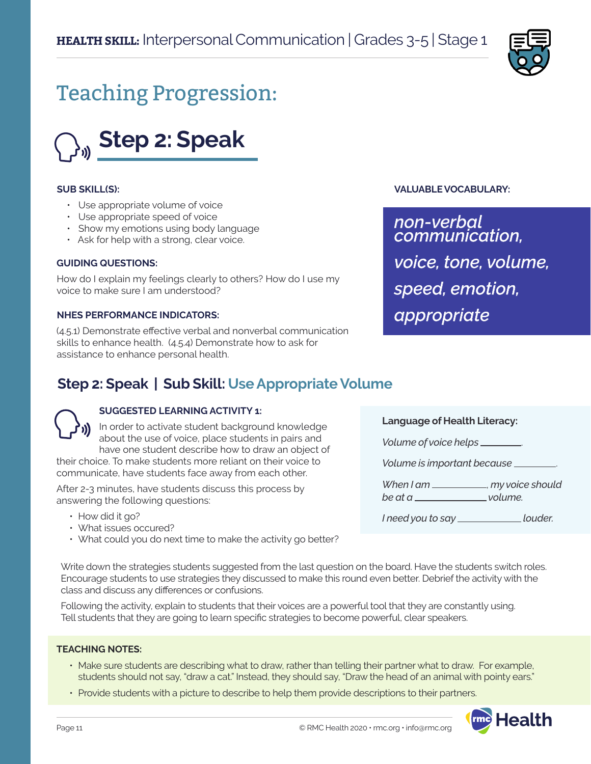

# Teaching Progression:



#### **SUB SKILL(S):**

- Use appropriate volume of voice
- Use appropriate speed of voice
- Show my emotions using body language
- Ask for help with a strong, clear voice.

#### **GUIDING QUESTIONS:**

How do I explain my feelings clearly to others? How do I use my voice to make sure I am understood?

#### **NHES PERFORMANCE INDICATORS:**

(4.5.1) Demonstrate effective verbal and nonverbal communication skills to enhance health. (4.5.4) Demonstrate how to ask for assistance to enhance personal health.

### **VALUABLE VOCABULARY:**

*non-verbal communication, voice, tone, volume, speed, emotion, appropriate*

## **Step 2: Speak | Sub Skill: Use Appropriate Volume**

#### **SUGGESTED LEARNING ACTIVITY 1:**

In order to activate student background knowledge about the use of voice, place students in pairs and have one student describe how to draw an object of their choice. To make students more reliant on their voice to

communicate, have students face away from each other.

After 2-3 minutes, have students discuss this process by answering the following questions:

- How did it go?
- What issues occured?
- What could you do next time to make the activity go better?

**Language of Health Literacy:**

*Volume of voice helps* .

*Volume is important because* .

*When I am* , *my voice should* 

*be at a volume.* 

*I* need you to say \_\_\_\_\_\_\_\_\_\_\_\_\_\_\_\_\_\_\_louder.

Write down the strategies students suggested from the last question on the board. Have the students switch roles. Encourage students to use strategies they discussed to make this round even better. Debrief the activity with the class and discuss any differences or confusions.

Following the activity, explain to students that their voices are a powerful tool that they are constantly using. Tell students that they are going to learn specific strategies to become powerful, clear speakers.

#### **TEACHING NOTES:**

- Make sure students are describing what to draw, rather than telling their partner what to draw. For example, students should not say, "draw a cat." Instead, they should say, "Draw the head of an animal with pointy ears."
- Provide students with a picture to describe to help them provide descriptions to their partners.

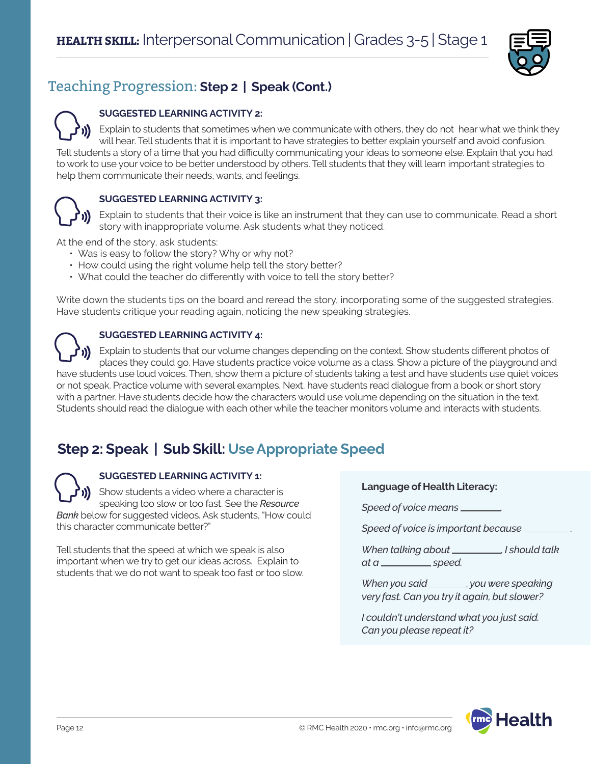

# Teaching Progression: **Step 2 | Speak (Cont.)**

### **SUGGESTED LEARNING ACTIVITY 2:**

Explain to students that sometimes when we communicate with others, they do not hear what we think they will hear. Tell students that it is important to have strategies to better explain yourself and avoid confusion. Tell students a story of a time that you had difficulty communicating your ideas to someone else. Explain that you had to work to use your voice to be better understood by others. Tell students that they will learn important strategies to help them communicate their needs, wants, and feelings.



### **SUGGESTED LEARNING ACTIVITY 3:**

Explain to students that their voice is like an instrument that they can use to communicate. Read a short story with inappropriate volume. Ask students what they noticed.

At the end of the story, ask students:

- Was is easy to follow the story? Why or why not?
- How could using the right volume help tell the story better?
- What could the teacher do differently with voice to tell the story better?

Write down the students tips on the board and reread the story, incorporating some of the suggested strategies. Have students critique your reading again, noticing the new speaking strategies.



### **SUGGESTED LEARNING ACTIVITY 4:**

Explain to students that our volume changes depending on the context. Show students different photos of places they could go. Have students practice voice volume as a class. Show a picture of the playground and have students use loud voices. Then, show them a picture of students taking a test and have students use quiet voices or not speak. Practice volume with several examples. Next, have students read dialogue from a book or short story with a partner. Have students decide how the characters would use volume depending on the situation in the text. Students should read the dialogue with each other while the teacher monitors volume and interacts with students.

# **Step 2: Speak | Sub Skill: Use Appropriate Speed**

### **SUGGESTED LEARNING ACTIVITY 1:**

Show students a video where a character is speaking too slow or too fast. See the *Resource Bank* below for suggested videos. Ask students, "How could this character communicate better?"

Tell students that the speed at which we speak is also important when we try to get our ideas across. Explain to students that we do not want to speak too fast or too slow.

#### **Language of Health Literacy:**

Speed of voice means \_\_\_\_\_\_

*Speed of voice is important because* .

*When talking about* , *I should talk at a speed.* 

*When you said* , *you were speaking very fast. Can you try it again, but slower?* 

*I couldn't understand what you just said. Can you please repeat it?*

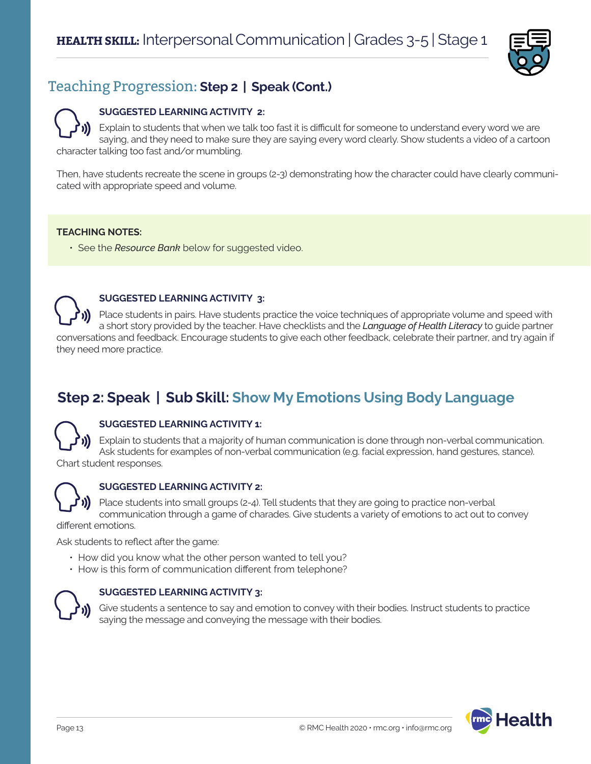

# Teaching Progression: **Step 2 | Speak (Cont.)**

### **SUGGESTED LEARNING ACTIVITY 2:**

Explain to students that when we talk too fast it is difficult for someone to understand every word we are saying, and they need to make sure they are saying every word clearly. Show students a video of a cartoon character talking too fast and/or mumbling.

Then, have students recreate the scene in groups (2-3) demonstrating how the character could have clearly communicated with appropriate speed and volume.

### **TEACHING NOTES:**

• See the *Resource Bank* below for suggested video.

#### **SUGGESTED LEARNING ACTIVITY 3:**

Place students in pairs. Have students practice the voice techniques of appropriate volume and speed with a short story provided by the teacher. Have checklists and the *Language of Health Literacy* to guide partner conversations and feedback. Encourage students to give each other feedback, celebrate their partner, and try again if they need more practice.

# **Step 2: Speak | Sub Skill: Show My Emotions Using Body Language**

### **SUGGESTED LEARNING ACTIVITY 1:**

Explain to students that a majority of human communication is done through non-verbal communication. Ask students for examples of non-verbal communication (e.g. facial expression, hand gestures, stance). Chart student responses.



### **SUGGESTED LEARNING ACTIVITY 2:**

Place students into small groups (2-4). Tell students that they are going to practice non-verbal communication through a game of charades. Give students a variety of emotions to act out to convey

different emotions.

Ask students to reflect after the game:

- How did you know what the other person wanted to tell you?
- How is this form of communication different from telephone?



### **SUGGESTED LEARNING ACTIVITY 3:**

Give students a sentence to say and emotion to convey with their bodies. Instruct students to practice saying the message and conveying the message with their bodies.